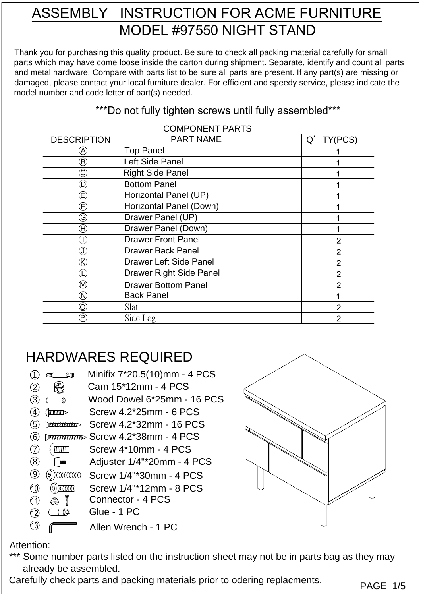## ASSEMBLY INSTRUCTION FOR ACME FURNITURE MODEL #97550 NIGHT STAND

Thank you for purchasing this quality product. Be sure to check all packing material carefully for small parts which may have come loose inside the carton during shipment. Separate, identify and count all parts and metal hardware. Compare with parts list to be sure all parts are present. If any part(s) are missing or damaged, please contact your local furniture dealer. For efficient and speedy service, please indicate the model number and code letter of part(s) needed.

| <b>COMPONENT PARTS</b>                                                    |                                |                |  |
|---------------------------------------------------------------------------|--------------------------------|----------------|--|
| <b>DESCRIPTION</b>                                                        | <b>PART NAME</b>               | Q'<br>TY(PCS)  |  |
| $\bigcirc\!\!\!\!\! \partial$                                             | <b>Top Panel</b>               |                |  |
| $\large\textcircled{\scriptsize{B}}$                                      | Left Side Panel                |                |  |
| $\widehat{\textbf{C}}$                                                    | <b>Right Side Panel</b>        |                |  |
| $\mathbf{\widehat{D}}$                                                    | <b>Bottom Panel</b>            |                |  |
| $\mathop\mathsf{\mathbb{E}}$                                              | Horizontal Panel (UP)          |                |  |
| $\widehat{\mathsf{F}}$                                                    | Horizontal Panel (Down)        |                |  |
| $\copyright$                                                              | Drawer Panel (UP)              |                |  |
| $\bigoplus$                                                               | Drawer Panel (Down)            |                |  |
| Œ                                                                         | <b>Drawer Front Panel</b>      | $\overline{2}$ |  |
| $\mathbb{J}% _{k}^{X\left( t\right) }=\mathbb{Z}_{k}^{X\left( 1\right) }$ | <b>Drawer Back Panel</b>       | $\overline{2}$ |  |
| $^\circledR$                                                              | <b>Drawer Left Side Panel</b>  | $\overline{2}$ |  |
| C                                                                         | <b>Drawer Right Side Panel</b> | $\overline{2}$ |  |
| $^{\circledR}$                                                            | <b>Drawer Bottom Panel</b>     | $\overline{2}$ |  |
| $\circledR$                                                               | <b>Back Panel</b>              |                |  |
| $\circledcirc$                                                            | Slat                           | $\overline{2}$ |  |
| $(\mathsf{P})$                                                            | Side Leg                       | $\overline{2}$ |  |

## \*\*\*Do not fully tighten screws until fully assembled\*\*\*

## HARDWARES REQUIRED

|                                      | ⊄®                | Minifix 7*20.5(10)mm - 4 PCS           |  |
|--------------------------------------|-------------------|----------------------------------------|--|
| $\left( 2\right)$                    |                   | Cam 15*12mm - 4 PCS                    |  |
| $\tilde{3}$                          |                   | Wood Dowel 6*25mm - 16 PCS             |  |
| (4)                                  | $\langle$ mmmller | Screw 4.2*25mm - 6 PCS                 |  |
| (5)                                  | <b>THURROR</b>    | Screw 4.2*32mm - 16 PCS                |  |
| (6)                                  |                   | <i>ராயாயா</i> ை Screw 4.2*38mm - 4 PCS |  |
| (7)                                  |                   | Screw 4*10mm - 4 PCS                   |  |
| $\overline{(\S)}$                    |                   | Adjuster 1/4"*20mm - 4 PCS             |  |
| $\left( \widehat{\mathbf{g}}\right)$ | θ                 | Screw 1/4"*30mm - 4 PCS                |  |
| $\circled{10}$                       | θ                 | Screw 1/4"*12mm - 8 PCS                |  |
| (11)                                 | Î<br>A            | Connector - 4 PCS                      |  |
|                                      |                   | Glue - 1 PC                            |  |
|                                      |                   |                                        |  |





## Attention:

- \*\*\* Some number parts listed on the instruction sheet may not be in parts bag as they may already be assembled.
- Carefully check parts and packing materials prior to odering replacments.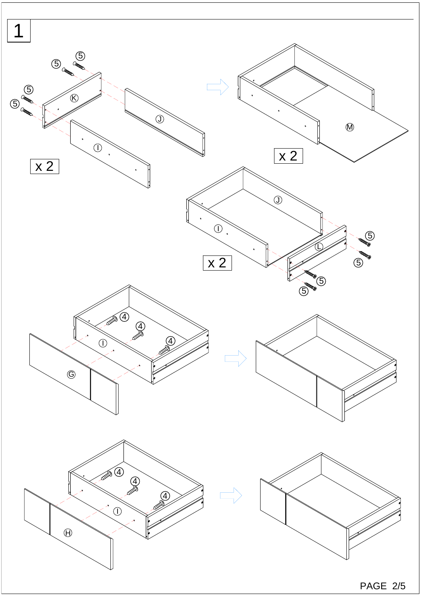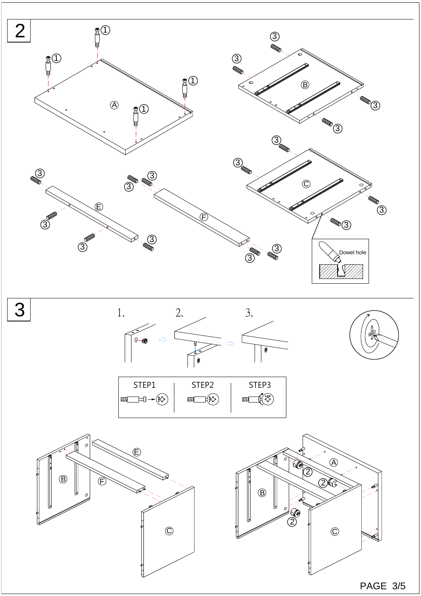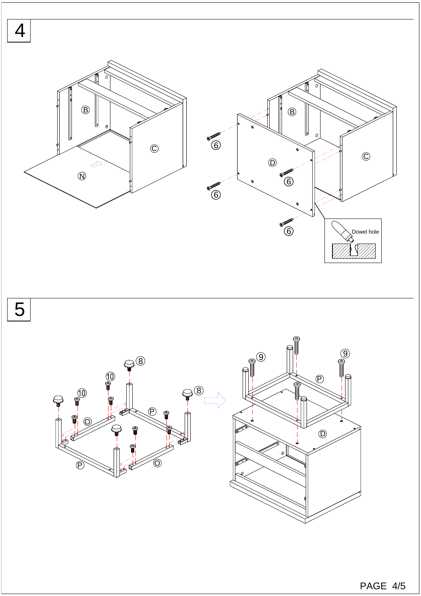